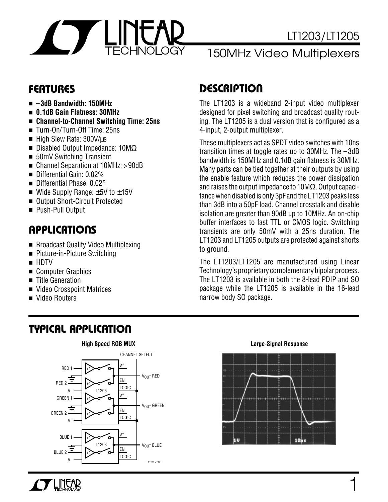

### 150MHz Video Multiplexers

- **–3dB Bandwidth: 150MHz**
- **0.1dB Gain Flatness: 30MHz**
- **Channel-to-Channel Switching Time: 25ns**
- Turn-On/Turn-Off Time: 25ns
- High Slew Rate: 300V/µs
- Disabled Output Impedance: 10MΩ
- 50mV Switching Transient
- Channel Separation at 10MHz: >90dB
- Differential Gain: 0.02%
- Differential Phase: 0.02°
- Wide Supply Range:  $±5V$  to  $±15V$
- Output Short-Circuit Protected
- Push-Pull Output

### **U A S O PPLICATI**

- Broadcast Quality Video Multiplexing
- Picture-in-Picture Switching
- HDTV
- Computer Graphics
- Title Generation
- Video Crosspoint Matrices
- Video Routers

### **FEATURES D <sup>U</sup> ESCRIPTIO**

The LT1203 is a wideband 2-input video multiplexer designed for pixel switching and broadcast quality routing. The LT1205 is a dual version that is configured as a 4-input, 2-output multiplexer.

These multiplexers act as SPDT video switches with 10ns transition times at toggle rates up to 30MHz. The – 3dB bandwidth is 150MHz and 0.1dB gain flatness is 30MHz. Many parts can be tied together at their outputs by using the enable feature which reduces the power dissipation and raises the output impedance to 10MΩ. Output capacitance when disabled is only 3pF and the LT1203 peaks less than 3dB into a 50pF load. Channel crosstalk and disable isolation are greater than 90dB up to 10MHz. An on-chip buffer interfaces to fast TTL or CMOS logic. Switching transients are only 50mV with a 25ns duration. The LT1203 and LT1205 outputs are protected against shorts to ground.

The LT1203/LT1205 are manufactured using Linear Technology's proprietary complementary bipolar process. The LT1203 is available in both the 8-lead PDIP and SO package while the LT1205 is available in the 16-lead narrow body SO package.

### **TYPICAL APPLICATION**





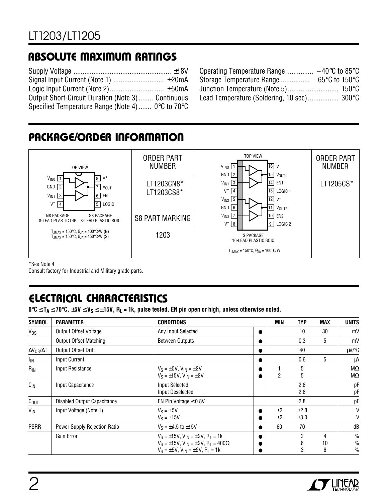### **ABSOLUTE MAXIMUM RATINGS**

| Output Short-Circuit Duration (Note 3)  Continuous                   |  |
|----------------------------------------------------------------------|--|
| Specified Temperature Range (Note 4) $0^{\circ}$ C to $70^{\circ}$ C |  |

| Operating Temperature Range $-40^{\circ}$ C to 85 $^{\circ}$ C |  |
|----------------------------------------------------------------|--|
| Storage Temperature Range  −65°C to 150°C                      |  |
|                                                                |  |
| Lead Temperature (Soldering, 10 sec) 300°C                     |  |

### **PACKAGE/ORDER INFORMATION**



\*See Note 4

Consult factory for Industrial and Military grade parts.

### **ELECTRICAL CHARACTERISTICS**

**0**°**C** ≤ **TA** ≤ **70**°**C,** ±**5V** ≤ **VS** ≤ ±**15V, RL = 1k, pulse tested, EN pin open or high, unless otherwise noted.**

| <b>SYMBOL</b>            | <b>PARAMETER</b>              | <b>CONDITIONS</b>                                                                                                                                              |           | <b>MIN</b> | <b>TYP</b>        | <b>MAX</b>   | <b>UNITS</b>                                    |
|--------------------------|-------------------------------|----------------------------------------------------------------------------------------------------------------------------------------------------------------|-----------|------------|-------------------|--------------|-------------------------------------------------|
| V <sub>os</sub>          | Output Offset Voltage         | Any Input Selected                                                                                                                                             |           |            | 10                | 30           | mV                                              |
|                          | <b>Output Offset Matching</b> | <b>Between Outputs</b>                                                                                                                                         |           |            | 0.3               | 5            | mV                                              |
| $\Delta V_{OS}/\Delta T$ | Output Offset Drift           |                                                                                                                                                                |           |            | 40                |              | $\mu V$ /°C                                     |
| <sup>I</sup> IN          | <b>Input Current</b>          |                                                                                                                                                                |           |            | 0.6               | 5            | μA                                              |
| $R_{IN}$                 | Input Resistance              | $V_S = \pm 5V$ , $V_{IN} = \pm 2V$<br>$V_S = \pm 15V$ , $V_{IN} = \pm 2V$                                                                                      |           | 2          | 5<br>5            |              | $M\Omega$<br>$M\Omega$                          |
| $C_{\text{IN}}$          | Input Capacitance             | <b>Input Selected</b><br>Input Deselected                                                                                                                      |           |            | 2.6<br>2.6        |              | рF<br>рF                                        |
| C <sub>OUT</sub>         | Disabled Output Capacitance   | EN Pin Voltage $\leq 0.8$ V                                                                                                                                    |           |            | 2.8               |              | рF                                              |
| $V_{\text{IN}}$          | Input Voltage (Note 1)        | $V_S = \pm 5V$<br>$V_S = \pm 15V$                                                                                                                              | $\bullet$ | ±2<br>±2   | ±2.8<br>$\pm 3.0$ |              | V<br>V                                          |
| <b>PSRR</b>              | Power Supply Rejection Ratio  | $V_S = \pm 4.5$ to $\pm 15V$                                                                                                                                   | $\bullet$ | 60         | 70                |              | dB                                              |
|                          | Gain Error                    | $V_S = \pm 15V$ , $V_{IN} = \pm 2V$ , $R_L = 1k$<br>$V_S = \pm 15V$ , $V_{IN} = \pm 2V$ , $R_L = 400\Omega$<br>$V_S = \pm 5V$ , $V_{IN} = \pm 2V$ , $R_1 = 1k$ |           |            | 2<br>6<br>3       | 4<br>10<br>6 | $\frac{0}{0}$<br>$\frac{0}{0}$<br>$\frac{0}{0}$ |

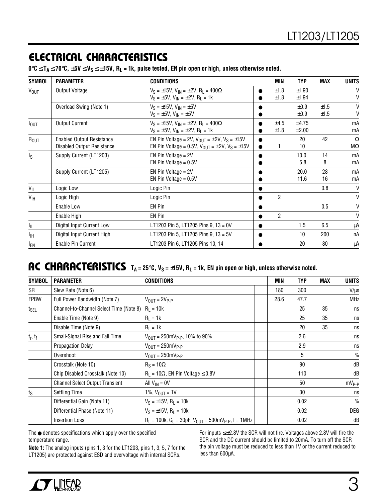### **ELECTRICAL CHARACTERISTICS**

**0**°**C** ≤ **TA** ≤ **70**°**C,** ±**5V** ≤ **VS** ≤ ±**15V, RL = 1k, pulse tested, EN pin open or high, unless otherwise noted.**

| <b>SYMBOL</b>           | <b>PARAMETER</b>                                                      | <b>CONDITIONS</b>                                                                                                                        |                        | <b>MIN</b>     | <b>TYP</b>             | <b>MAX</b>   | <b>UNITS</b>   |
|-------------------------|-----------------------------------------------------------------------|------------------------------------------------------------------------------------------------------------------------------------------|------------------------|----------------|------------------------|--------------|----------------|
| <b>VOUT</b>             | Output Voltage                                                        | $V_S = \pm 15V$ , $V_{IN} = \pm 2V$ , $R_L = 400\Omega$<br>$V_S = \pm 5V$ , $V_{IN} = \pm 2V$ , $R_1 = 1k$                               |                        | ±1.8<br>±1.8   | ±1.90<br>±1.94         |              | $\vee$<br>V    |
|                         | Overload Swing (Note 1)                                               | $V_S = \pm 15V$ , $V_{IN} = \pm 5V$<br>$V_S = \pm 5V$ , $V_{IN} = \pm 5V$                                                                |                        |                | $\pm 0.9$<br>$\pm 0.9$ | ±1.5<br>±1.5 | $\vee$<br>V    |
| <b>I</b> OUT            | <b>Output Current</b>                                                 | $V_S = \pm 15V$ , $V_{IN} = \pm 2V$ , $R_L = 400\Omega$<br>$V_S = \pm 5V$ , $V_{IN} = \pm 2V$ , $R_I = 1k$                               | $\bullet$              | ±4.5<br>±1.8   | ±4.75<br>$\pm 2.00$    |              | mA<br>mA       |
| ROUT                    | <b>Enabled Output Resistance</b><br><b>Disabled Output Resistance</b> | EN Pin Voltage = 2V, $V_{\text{OUT}} = \pm 2V$ , $V_{\text{S}} = \pm 15V$<br>EN Pin Voltage = 0.5V, $V_{OUT} = \pm 2V$ , $V_S = \pm 15V$ | $\bullet$<br>$\bullet$ | 1              | 20<br>10               | 42           | Ω<br>$M\Omega$ |
| $\mathsf{I}_\mathsf{S}$ | Supply Current (LT1203)                                               | EN Pin Voltage = 2V<br>EN Pin Voltage = $0.5V$                                                                                           |                        |                | 10.0<br>5.8            | 14<br>8      | mA<br>mA       |
|                         | Supply Current (LT1205)                                               | $EN P$ in Voltage = 2V<br>EN Pin Voltage = $0.5V$                                                                                        |                        |                | 20.0<br>11.6           | 28<br>16     | mA<br>mA       |
| $V_{IL}$                | Logic Low                                                             | Logic Pin                                                                                                                                | ●                      |                |                        | 0.8          | V              |
| $V_{\text{IH}}$         | Logic High                                                            | Logic Pin                                                                                                                                | ●                      | $\mathfrak{p}$ |                        |              | V              |
|                         | Enable Low                                                            | EN Pin                                                                                                                                   | ●                      |                |                        | 0.5          | V              |
|                         | Enable High                                                           | EN Pin                                                                                                                                   |                        | $\mathfrak{p}$ |                        |              | V              |
| Ι'n.                    | Digital Input Current Low                                             | LT1203 Pin 5, LT1205 Pins 9, 13 = 0V                                                                                                     | $\bullet$              |                | 1.5                    | 6.5          | μA             |
| Īщ                      | Digital Input Current High                                            | LT1203 Pin 5, LT1205 Pins 9, 13 = 5V                                                                                                     | $\bullet$              |                | 10                     | 200          | пA             |
| <sub>EN</sub>           | Enable Pin Current                                                    | LT1203 Pin 6, LT1205 Pins 10, 14                                                                                                         | $\bullet$              |                | 20                     | 80           | μA             |

### **AC** CHARACTERISTICS  $T_A = 25^\circ \text{C}$ ,  $V_S = \pm 15V$ ,  $R_L = 1k$ , EN pin open or high, unless otherwise noted.

| <b>SYMBOL</b> | <b>PARAMETER</b>                        | <b>CONDITIONS</b>                                                  | <b>MIN</b> | <b>TYP</b>      | <b>MAX</b> | <b>UNITS</b>  |
|---------------|-----------------------------------------|--------------------------------------------------------------------|------------|-----------------|------------|---------------|
| SR            | Slew Rate (Note 6)                      |                                                                    | 180        | 300             |            | $V/\mu s$     |
| <b>FPBW</b>   | Full Power Bandwidth (Note 7)           | $V_{\text{OUT}} = 2V_{\text{P-P}}$                                 | 28.6       | 47.7            |            | <b>MHz</b>    |
| $t_{\sf SEL}$ | Channel-to-Channel Select Time (Note 8) | $R_L = 10k$                                                        |            | 25              | 35         | ns            |
|               | Enable Time (Note 9)                    | $R_L = 1k$                                                         |            | 25              | 35         | ns            |
|               | Disable Time (Note 9)                   | $R_1 = 1k$                                                         |            | 20              | 35         | ns            |
| $t_r$ , $t_f$ | Small-Signal Rise and Fall Time         | $V_{OUT} = 250 \text{mVp.p}$ , 10% to 90%                          |            | 2.6             |            | ns            |
|               | <b>Propagation Delay</b>                | $V_{OUT} = 250mV_{P-P}$                                            |            | 2.9             |            | ns            |
|               | Overshoot                               | $V_{\text{OUT}} = 250 \text{mV}_{\text{P-P}}$                      |            | $5\phantom{.0}$ |            | $\%$          |
|               | Crosstalk (Note 10)                     | $R_S = 10\Omega$                                                   |            | 90              |            | dB            |
|               | Chip Disabled Crosstalk (Note 10)       | $R_L = 10\Omega$ , EN Pin Voltage $\leq 0.8V$                      |            | 110             |            | dB            |
|               | <b>Channel Select Output Transient</b>  | All $V_{IN} = 0V$                                                  |            | 50              |            | $mV_{P-P}$    |
| ts            | <b>Settling Time</b>                    | 1%, $V_{OUT} = 1V$                                                 |            | 30              |            | ns            |
|               | Differential Gain (Note 11)             | $V_S = \pm 15V$ , R <sub>1</sub> = 10k                             |            | 0.02            |            | $\frac{0}{0}$ |
|               | Differential Phase (Note 11)            | $V_S = \pm 15V$ , R <sub>1</sub> = 10k                             |            | 0.02            |            | DEG           |
|               | <b>Insertion Loss</b>                   | $R_L = 100k$ , $C_L = 30pF$ , $V_{OUT} = 500mV_{P-P}$ , $f = 1MHz$ |            | 0.02            |            | dB            |

The ● denotes specifications which apply over the specified temperature range.

**Note 1:** The analog inputs (pins 1, 3 for the LT1203, pins 1, 3, 5, 7 for the LT1205) are protected against ESD and overvoltage with internal SCRs.

For inputs ≤±2.8V the SCR will not fire. Voltages above 2.8V will fire the SCR and the DC current should be limited to 20mA. To turn off the SCR the pin voltage must be reduced to less than 1V or the current reduced to less than 600µA.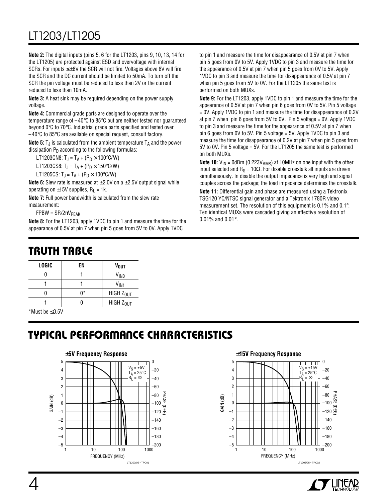### LT1203/LT1205

**Note 2:** The digital inputs (pins 5, 6 for the LT1203, pins 9, 10, 13, 14 for the LT1205) are protected against ESD and overvoltage with internal SCRs. For inputs ≤±6V the SCR will not fire. Voltages above 6V will fire the SCR and the DC current should be limited to 50mA. To turn off the SCR the pin voltage must be reduced to less than 2V or the current reduced to less than 10mA.

**Note 3:** A heat sink may be required depending on the power supply voltage.

**Note 4:** Commercial grade parts are designed to operate over the temperature range of –40°C to 85°C but are neither tested nor guaranteed beyond 0°C to 70°C. Industrial grade parts specified and tested over  $-40^{\circ}$ C to 85 $^{\circ}$ C are available on special request, consult factory.

**Note 5:**  $T_{\text{J}}$  is calculated from the ambient temperature  $T_A$  and the power dissipation  $P_D$  according to the following formulas:

LT1203CN8:  $T_{\rm J} = T_{\rm A} + (P_{\rm D} \times 100^{\circ} \text{C/W})$ LT1203CS8:  $T_J = T_A + (P_D \times 150\degree \text{C/W})$ 

LT1205CS:  $T_J = T_A + (P_D \times 100\degree C/W)$ 

**Note 6:** Slew rate is measured at ±2.0V on a ±2.5V output signal while operating on  $\pm$ 15V supplies, R<sub>L</sub> = 1k.

**Note 7:** Full power bandwidth is calculated from the slew rate measurement:

 $FPBW = SR/2\pi V_{PEAK}$ 

**Note 8:** For the LT1203, apply 1VDC to pin 1 and measure the time for the appearance of 0.5V at pin 7 when pin 5 goes from 5V to 0V. Apply 1VDC

### **TRUTH TABLE**

|    | V <sub>OUT</sub>      |
|----|-----------------------|
|    | V <sub>INO</sub>      |
|    | V <sub>IN1</sub>      |
| n* | HIGH Z <sub>OUT</sub> |
|    | HIGH Z <sub>OUT</sub> |
|    | EN                    |

\*Must be ≤0.5V

## **TYPICAL PERFORMANCE CHARACTERISTICS**



to pin 1 and measure the time for disappearance of 0.5V at pin 7 when pin 5 goes from 0V to 5V. Apply 1VDC to pin 3 and measure the time for the appearance of 0.5V at pin 7 when pin 5 goes from 0V to 5V. Apply 1VDC to pin 3 and measure the time for disappearance of 0.5V at pin 7 when pin 5 goes from 5V to 0V. For the LT1205 the same test is performed on both MUXs.

**Note 9:** For the LT1203, apply 1VDC to pin 1 and measure the time for the appearance of 0.5V at pin 7 when pin 6 goes from 0V to 5V. Pin 5 voltage = 0V. Apply 1VDC to pin 1 and measure the time for disappearance of 0.2V at pin 7 when pin 6 goes from 5V to 0V. Pin 5 voltage = 0V. Apply 1VDC to pin 3 and measure the time for the appearance of 0.5V at pin 7 when pin 6 goes from 0V to 5V. Pin 5 voltage = 5V. Apply 1VDC to pin 3 and measure the time for disappearance of 0.2V at pin 7 when pin 5 goes from 5V to 0V. Pin 5 voltage = 5V. For the LT1205 the same test is performed on both MUXs.

**Note 10:**  $V_{IN}$  = 0dBm (0.223 $V_{RMS}$ ) at 10MHz on one input with the other input selected and R<sub>S</sub> = 10Ω. For disable crosstalk all inputs are driven simultaneously. In disable the output impedance is very high and signal couples across the package; the load impedance determines the crosstalk.

**Note 11:** Differential gain and phase are measured using a Tektronix TSG120 YC/NTSC signal generator and a Tektronix 1780R video measurement set. The resolution of this equipment is 0.1% and 0.1°. Ten identical MUXs were cascaded giving an effective resolution of 0.01% and 0.01°.



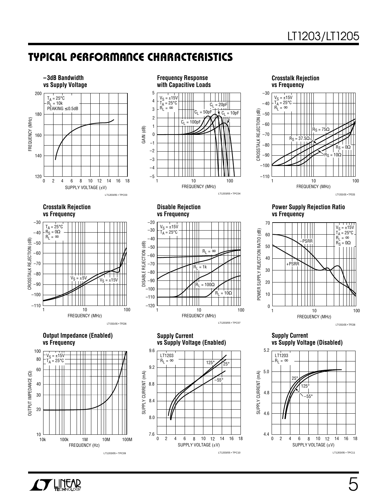### **TYPICAL PERFORMANCE CHARACTERISTICS**





**vs Frequency**

 $V_S = \pm 15V$  $T_{\text{A}}$  = 25°C

1

–70 –80 –90

 $-60$ 

–50 –40 –30

–20

–110

 $-120$ 

 $\begin{array}{ccc} \mathsf{DISABLE}\ \mathsf{REJECTION}\ (\mathsf{dB}) \\ \mathsf{I} & \mathsf{I} & \mathsf{I} \\ \mathsf{B} & \mathsf{B} & \mathsf{B} \end{array}$ 

–120 DISABLE REJECTION (dB) –60

**Crosstalk Rejection vs Frequency** –30



**Power Supply Rejection Ratio vs Frequency**



**Supply Current**

**vs Supply Voltage (Disabled)**



**Crosstalk Rejection vs Frequency**



**Output Impedance (Enabled) vs Frequency**



**Supply Current vs Supply Voltage (Enabled)**

FREQUENCY (MHz)

 $\dot{R}_1 = 1k$ 

 $R_L = \infty$ 

=  $100Ω$ 

10 100

 $R<sub>L</sub> = 10$ 

LT1203/05 • TPC07



**AFFELLITEAR**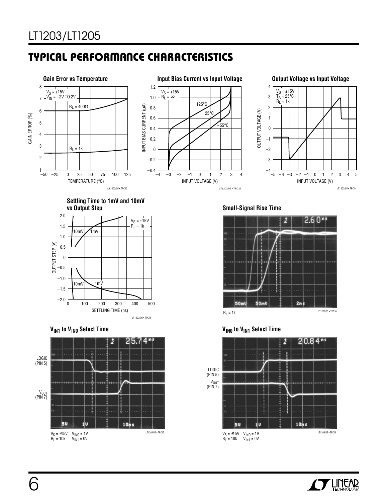## **TYPICAL PERFORMANCE CHARACTERISTICS**



**Settling Time to 1mV and 10mV vs Output Step**







**Small-Signal Rise Time**







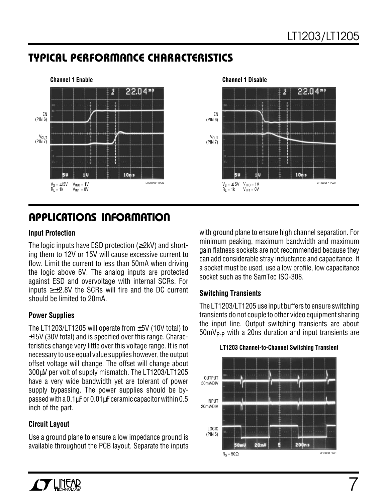### **TYPICAL PERFORMANCE CHARACTERISTICS**



### **U A S O PPLICATI W U U I FOR ATIO**

#### **Input Protection**

The logic inputs have ESD protection ( $\geq$ 2kV) and shorting them to 12V or 15V will cause excessive current to flow. Limit the current to less than 50mA when driving the logic above 6V. The analog inputs are protected against ESD and overvoltage with internal SCRs. For inputs  $≥±2.8V$  the SCRs will fire and the DC current should be limited to 20mA.

### **Power Supplies**

The LT1203/LT1205 will operate from  $\pm$ 5V (10V total) to ±15V (30V total) and is specified over this range. Characteristics change very little over this voltage range. It is not necessary to use equal value supplies however, the output offset voltage will change. The offset will change about 300µV per volt of supply mismatch. The LT1203/LT1205 have a very wide bandwidth yet are tolerant of power supply bypassing. The power supplies should be bypassed with a 0.1µF or 0.01µF ceramic capacitor within 0.5 inch of the part.

### **Circuit Layout**

Use a ground plane to ensure a low impedance ground is available throughout the PCB layout. Separate the inputs with ground plane to ensure high channel separation. For minimum peaking, maximum bandwidth and maximum gain flatness sockets are not recommended because they can add considerable stray inductance and capacitance. If a socket must be used, use a low profile, low capacitance socket such as the SamTec ISO-308.

### **Switching Transients**

The LT1203/LT1205 use input buffers to ensure switching transients do not couple to other video equipment sharing the input line. Output switching transients are about  $50$ mV<sub>P-P</sub> with a 20ns duration and input transients are



#### **LT1203 Channel-to-Channel Switching Transient**

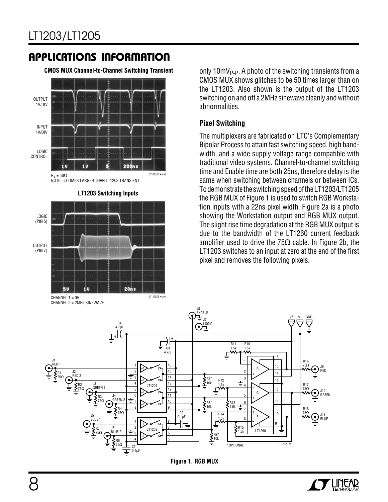**CMOS MUX Channel-to-Channel Switching Transient**



CHANNEL 2 = 2MHz SINEWAVE

only  $10mV_{P-P}$ . A photo of the switching transients from a CMOS MUX shows glitches to be 50 times larger than on the LT1203. Also shown is the output of the LT1203 switching on and off a 2MHz sinewave cleanly and without abnormalities.

#### **Pixel Switching**

The multiplexers are fabricated on LTC's Complementary Bipolar Process to attain fast switching speed, high bandwidth, and a wide supply voltage range compatible with traditional video systems. Channel-to-channel switching time and Enable time are both 25ns, therefore delay is the same when switching between channels or between ICs. To demonstrate the switching speed of the LT1203/LT1205 the RGB MUX of Figure 1 is used to switch RGB Workstation inputs with a 22ns pixel width. Figure 2a is a photo showing the Workstation output and RGB MUX output. The slight rise time degradation at the RGB MUX output is due to the bandwidth of the LT1260 current feedback amplifier used to drive the 75 $\Omega$  cable. In Figure 2b, the LT1203 switches to an input at zero at the end of the first pixel and removes the following pixels.



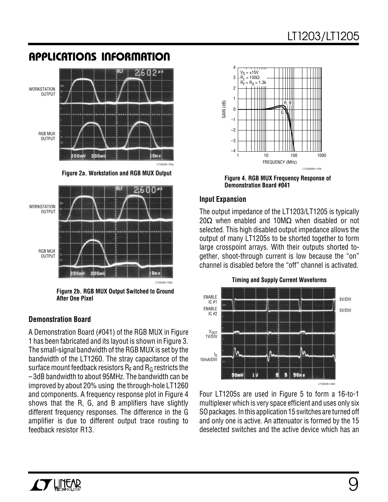

**Figure 2a. Workstation and RGB MUX Output**



**Figure 2b. RGB MUX Output Switched to Ground After One Pixel**

#### **Demonstration Board**

A Demonstration Board (#041) of the RGB MUX in Figure 1 has been fabricated and its layout is shown in Figure 3. The small-signal bandwidth of the RGB MUX is set by the bandwidth of the LT1260. The stray capacitance of the surface mount feedback resistors  $R_F$  and  $R_G$  restricts the –3dB bandwidth to about 95MHz. The bandwidth can be improved by about 20% using the through-hole LT1260 and components. A frequency response plot in Figure 4 shows that the R, G, and B amplifiers have slightly different frequency responses. The difference in the G amplifier is due to different output trace routing to feedback resistor R13.



**Figure 4. RGB MUX Frequency Response of Demonstration Board #041**

#### **Input Expansion**

The output impedance of the LT1203/LT1205 is typically 20 $\Omega$  when enabled and 10M $\Omega$  when disabled or not selected. This high disabled output impedance allows the output of many LT1205s to be shorted together to form large crosspoint arrays. With their outputs shorted together, shoot-through current is low because the "on" channel is disabled before the "off" channel is activated.



Four LT1205s are used in Figure 5 to form a 16-to-1 multiplexer which is very space efficient and uses only six SO packages. In this application 15 switches are turned off and only one is active. An attenuator is formed by the 15 deselected switches and the active device which has an

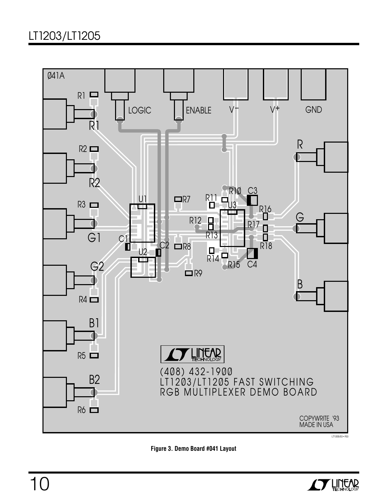### LT1203/LT1205





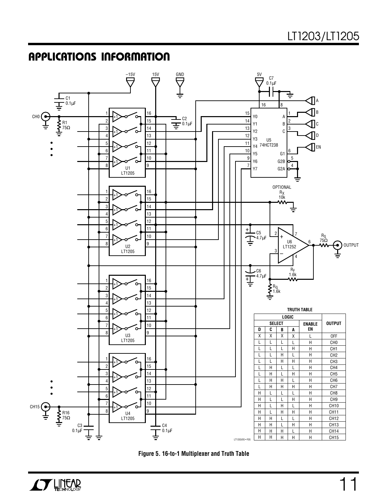



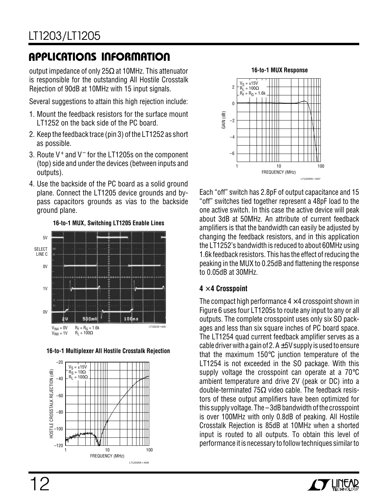output impedance of only 25Ω at 10MHz. This attenuator is responsible for the outstanding All Hostile Crosstalk Rejection of 90dB at 10MHz with 15 input signals.

Several suggestions to attain this high rejection include:

- 1. Mount the feedback resistors for the surface mount LT1252 on the back side of the PC board.
- 2. Keep the feedback trace (pin 3) of the LT1252 as short as possible.
- 3. Route V+ and V– for the LT1205s on the component (top) side and under the devices (between inputs and outputs).
- 4. Use the backside of the PC board as a solid ground plane. Connect the LT1205 device grounds and bypass capacitors grounds as vias to the backside ground plane.



**16-to-1 Multiplexer All Hostile Crosstalk Rejection**





Each "off" switch has 2.8pF of output capacitance and 15 "off" switches tied together represent a 48pF load to the one active switch. In this case the active device will peak about 3dB at 50MHz. An attribute of current feedback amplifiers is that the bandwidth can easily be adjusted by changing the feedback resistors, and in this application the LT1252's bandwidth is reduced to about 60MHz using 1.6k feedback resistors. This has the effect of reducing the peaking in the MUX to 0.25dB and flattening the response to 0.05dB at 30MHz.

### **4** × **4 Crosspoint**

The compact high performance  $4 \times 4$  crosspoint shown in Figure 6 uses four LT1205s to route any input to any or all outputs. The complete crosspoint uses only six SO packages and less than six square inches of PC board space. The LT1254 quad current feedback amplifier serves as a cable driver with a gain of 2.  $A \pm 5V$  supply is used to ensure that the maximum 150°C junction temperature of the LT1254 is not exceeded in the SO package. With this supply voltage the crosspoint can operate at a 70°C ambient temperature and drive 2V (peak or DC) into a double-terminated 75Ω video cable. The feedback resistors of these output amplifiers have been optimized for this supply voltage. The –3dB bandwidth of the crosspoint is over 100MHz with only 0.8dB of peaking. All Hostile Crosstalk Rejection is 85dB at 10MHz when a shorted input is routed to all outputs. To obtain this level of performance it is necessary to follow techniques similar to

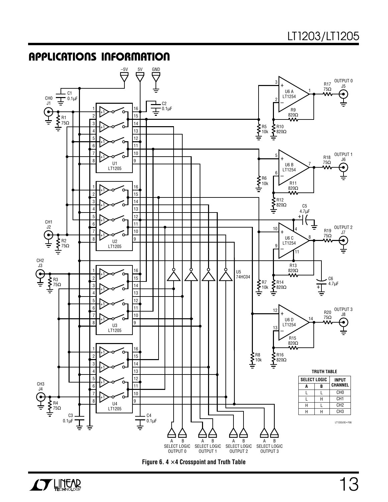

**Figure 6. 4** × **4 Crosspoint and Truth Table**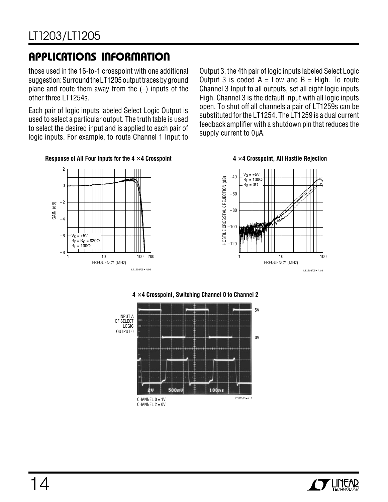those used in the 16-to-1 crosspoint with one additional suggestion: Surround the LT1205 output traces by ground plane and route them away from the  $(-)$  inputs of the other three LT1254s.

Each pair of logic inputs labeled Select Logic Output is used to select a particular output. The truth table is used to select the desired input and is applied to each pair of logic inputs. For example, to route Channel 1 Input to

Output 3, the 4th pair of logic inputs labeled Select Logic Output 3 is coded  $A = Low$  and  $B = High$ . To route Channel 3 Input to all outputs, set all eight logic inputs High. Channel 3 is the default input with all logic inputs open. To shut off all channels a pair of LT1259s can be substituted for the LT1254. The LT1259 is a dual current feedback amplifier with a shutdown pin that reduces the supply current to OuA.

#### **4** × **4 Crosspoint, All Hostile Rejection**









## $\boldsymbol{I}$   $\boldsymbol{I}$  lintar

# 14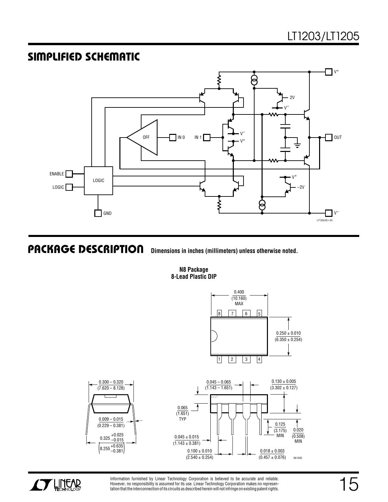### **SIMPLIFIED SCHEMATIC**



 $\overline{\phantom{0}}$ 

**PACKAGE DESCRIPTIO Dimensions in inches (millimeters) unless otherwise noted.**

**N8 Package 8-Lead Plastic DIP**